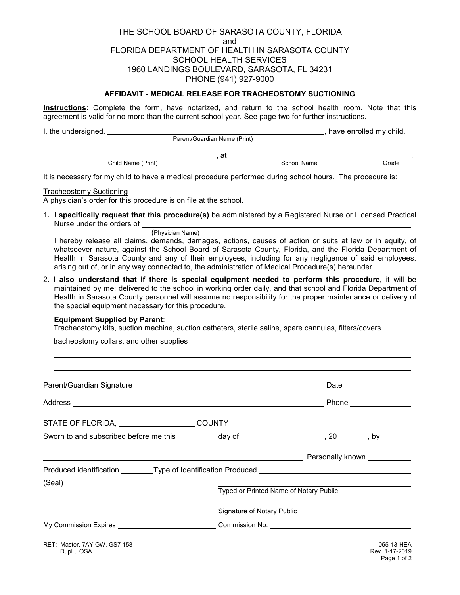THE SCHOOL BOARD OF SARASOTA COUNTY, FLORIDA and FLORIDA DEPARTMENT OF HEALTH IN SARASOTA COUNTY SCHOOL HEALTH SERVICES 1960 LANDINGS BOULEVARD, SARASOTA, FL 34231 PHONE (941) 927-9000

## **AFFIDAVIT - MEDICAL RELEASE FOR TRACHEOSTOMY SUCTIONING**

**Instructions:** Complete the form, have notarized, and return to the school health room. Note that this agreement is valid for no more than the current school year. See page two for further instructions.

I, the undersigned, , have enrolled my child, Parent/Guardian Name (Print)

example and the child Name (Print) and the school Name Child Name (Print) and the School Name Grade

It is necessary for my child to have a medical procedure performed during school hours. The procedure is:

Tracheostomy Suctioning

A physician's order for this procedure is on file at the school.

- 1**. I specifically request that this procedure(s)** be administered by a Registered Nurse or Licensed Practical Nurse under the orders of
	- (Physician Name)

I hereby release all claims, demands, damages, actions, causes of action or suits at law or in equity, of whatsoever nature, against the School Board of Sarasota County, Florida, and the Florida Department of Health in Sarasota County and any of their employees, including for any negligence of said employees, arising out of, or in any way connected to, the administration of Medical Procedure(s) hereunder.

2**. I also understand that if there is special equipment needed to perform this procedure,** it will be maintained by me; delivered to the school in working order daily, and that school and Florida Department of Health in Sarasota County personnel will assume no responsibility for the proper maintenance or delivery of the special equipment necessary for this procedure.

## **Equipment Supplied by Parent**:

 $\ddot{\phantom{a}}$ 

Tracheostomy kits, suction machine, suction catheters, sterile saline, spare cannulas, filters/covers

tracheostomy collars, and other supplies

| STATE OF FLORIDA, COUNTY                                                                       |                            |                                                         |  |
|------------------------------------------------------------------------------------------------|----------------------------|---------------------------------------------------------|--|
| Sworn to and subscribed before me this __________ day of _____________________, 20 _______, by |                            |                                                         |  |
|                                                                                                |                            | <b>Example 2016</b> Personally known <b>League 2016</b> |  |
| Produced identification _________Type of Identification Produced ________________              |                            |                                                         |  |
| (Seal)                                                                                         |                            | Typed or Printed Name of Notary Public                  |  |
|                                                                                                | Signature of Notary Public |                                                         |  |
| My Commission Expires ______________________________Commission No. ______________              |                            |                                                         |  |
| RET: Master, 7AY GW, GS7 158<br>Dupl OSA <b>Duplet</b>                                         |                            | 055-13-HEA<br>Rev. 1-17-2019                            |  |